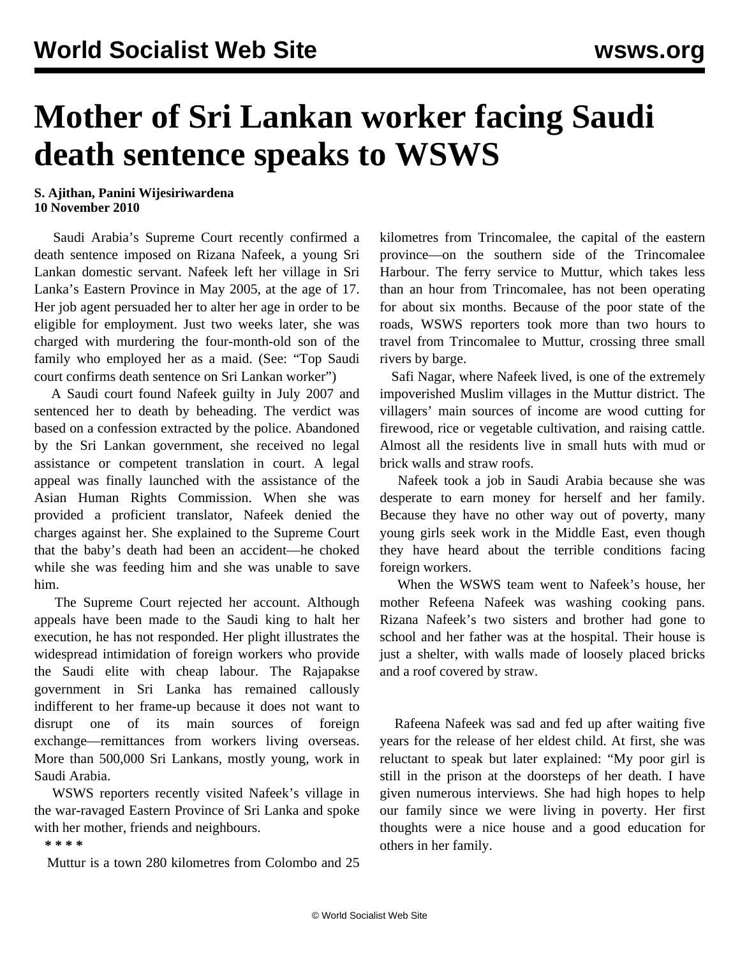## **Mother of Sri Lankan worker facing Saudi death sentence speaks to WSWS**

## **S. Ajithan, Panini Wijesiriwardena 10 November 2010**

 Saudi Arabia's Supreme Court recently confirmed a death sentence imposed on Rizana Nafeek, a young Sri Lankan domestic servant. Nafeek left her village in Sri Lanka's Eastern Province in May 2005, at the age of 17. Her job agent persuaded her to alter her age in order to be eligible for employment. Just two weeks later, she was charged with murdering the four-month-old son of the family who employed her as a maid. (See: "[Top Saudi](/en/articles/2010/nov2010/sril-n03.shtml) [court confirms death sentence on Sri Lankan worker](/en/articles/2010/nov2010/sril-n03.shtml)")

 A Saudi court found Nafeek guilty in July 2007 and sentenced her to death by beheading. The verdict was based on a confession extracted by the police. Abandoned by the Sri Lankan government, she received no legal assistance or competent translation in court. A legal appeal was finally launched with the assistance of the Asian Human Rights Commission. When she was provided a proficient translator, Nafeek denied the charges against her. She explained to the Supreme Court that the baby's death had been an accident—he choked while she was feeding him and she was unable to save him.

 The Supreme Court rejected her account. Although appeals have been made to the Saudi king to halt her execution, he has not responded. Her plight illustrates the widespread intimidation of foreign workers who provide the Saudi elite with cheap labour. The Rajapakse government in Sri Lanka has remained callously indifferent to her frame-up because it does not want to disrupt one of its main sources of foreign exchange—remittances from workers living overseas. More than 500,000 Sri Lankans, mostly young, work in Saudi Arabia.

 WSWS reporters recently visited Nafeek's village in the war-ravaged Eastern Province of Sri Lanka and spoke with her mother, friends and neighbours.

**\* \* \* \***

Muttur is a town 280 kilometres from Colombo and 25

kilometres from Trincomalee, the capital of the eastern province—on the southern side of the Trincomalee Harbour. The ferry service to Muttur, which takes less than an hour from Trincomalee, has not been operating for about six months. Because of the poor state of the roads, WSWS reporters took more than two hours to travel from Trincomalee to Muttur, crossing three small rivers by barge.

 Safi Nagar, where Nafeek lived, is one of the extremely impoverished Muslim villages in the Muttur district. The villagers' main sources of income are wood cutting for firewood, rice or vegetable cultivation, and raising cattle. Almost all the residents live in small huts with mud or brick walls and straw roofs.

 Nafeek took a job in Saudi Arabia because she was desperate to earn money for herself and her family. Because they have no other way out of poverty, many young girls seek work in the Middle East, even though they have heard about the terrible conditions facing foreign workers.

 When the WSWS team went to Nafeek's house, her mother Refeena Nafeek was washing cooking pans. Rizana Nafeek's two sisters and brother had gone to school and her father was at the hospital. Their house is just a shelter, with walls made of loosely placed bricks and a roof covered by straw.

 Rafeena Nafeek was sad and fed up after waiting five years for the release of her eldest child. At first, she was reluctant to speak but later explained: "My poor girl is still in the prison at the doorsteps of her death. I have given numerous interviews. She had high hopes to help our family since we were living in poverty. Her first thoughts were a nice house and a good education for others in her family.